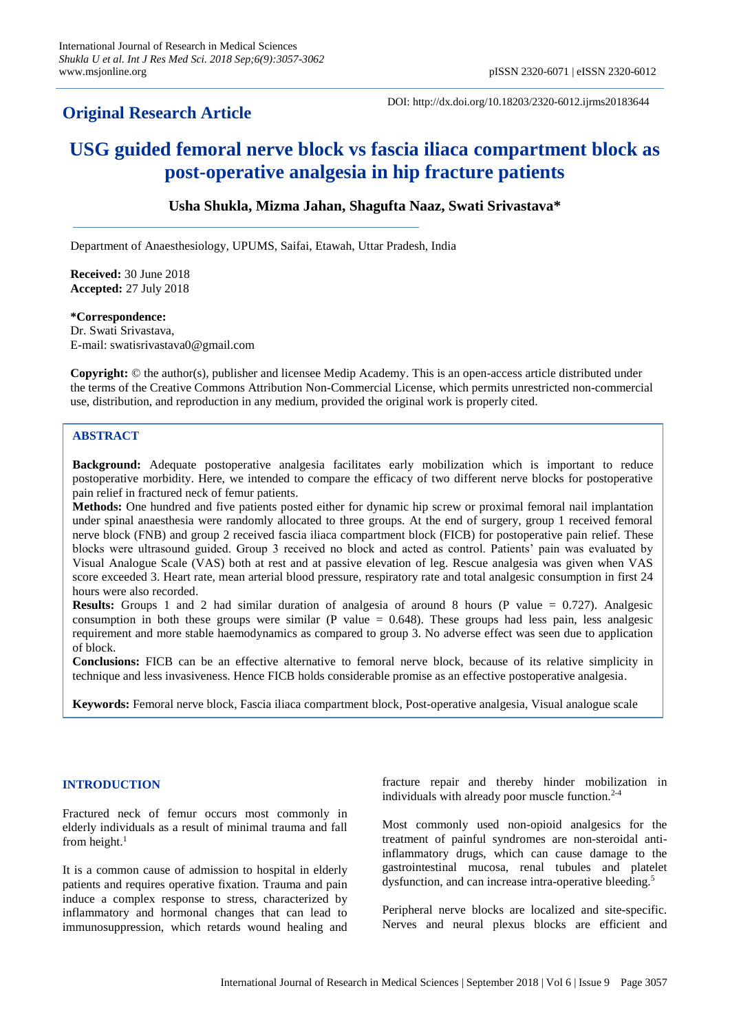# **Original Research Article**

DOI: http://dx.doi.org/10.18203/2320-6012.ijrms20183644

# **USG guided femoral nerve block vs fascia iliaca compartment block as post-operative analgesia in hip fracture patients**

# **Usha Shukla, Mizma Jahan, Shagufta Naaz, Swati Srivastava\***

Department of Anaesthesiology, UPUMS, Saifai, Etawah, Uttar Pradesh, India

**Received:** 30 June 2018 **Accepted:** 27 July 2018

# **\*Correspondence:**

Dr. Swati Srivastava, E-mail: swatisrivastava0@gmail.com

**Copyright:** © the author(s), publisher and licensee Medip Academy. This is an open-access article distributed under the terms of the Creative Commons Attribution Non-Commercial License, which permits unrestricted non-commercial use, distribution, and reproduction in any medium, provided the original work is properly cited.

# **ABSTRACT**

**Background:** Adequate postoperative analgesia facilitates early mobilization which is important to reduce postoperative morbidity. Here, we intended to compare the efficacy of two different nerve blocks for postoperative pain relief in fractured neck of femur patients.

**Methods:** One hundred and five patients posted either for dynamic hip screw or proximal femoral nail implantation under spinal anaesthesia were randomly allocated to three groups. At the end of surgery, group 1 received femoral nerve block (FNB) and group 2 received fascia iliaca compartment block (FICB) for postoperative pain relief. These blocks were ultrasound guided. Group 3 received no block and acted as control. Patients' pain was evaluated by Visual Analogue Scale (VAS) both at rest and at passive elevation of leg. Rescue analgesia was given when VAS score exceeded 3. Heart rate, mean arterial blood pressure, respiratory rate and total analgesic consumption in first 24 hours were also recorded.

**Results:** Groups 1 and 2 had similar duration of analgesia of around 8 hours (P value = 0.727). Analgesic consumption in both these groups were similar (P value  $= 0.648$ ). These groups had less pain, less analgesic requirement and more stable haemodynamics as compared to group 3. No adverse effect was seen due to application of block.

**Conclusions:** FICB can be an effective alternative to femoral nerve block, because of its relative simplicity in technique and less invasiveness. Hence FICB holds considerable promise as an effective postoperative analgesia.

**Keywords:** Femoral nerve block, Fascia iliaca compartment block, Post-operative analgesia, Visual analogue scale

# **INTRODUCTION**

Fractured neck of femur occurs most commonly in elderly individuals as a result of minimal trauma and fall from height. $1$ 

It is a common cause of admission to hospital in elderly patients and requires operative fixation. Trauma and pain induce a complex response to stress, characterized by inflammatory and hormonal changes that can lead to immunosuppression, which retards wound healing and fracture repair and thereby hinder mobilization in individuals with already poor muscle function. $2-4$ 

Most commonly used non-opioid analgesics for the treatment of painful syndromes are non-steroidal antiinflammatory drugs, which can cause damage to the gastrointestinal mucosa, renal tubules and platelet dysfunction, and can increase intra-operative bleeding.<sup>5</sup>

Peripheral nerve blocks are localized and site-specific. Nerves and neural plexus blocks are efficient and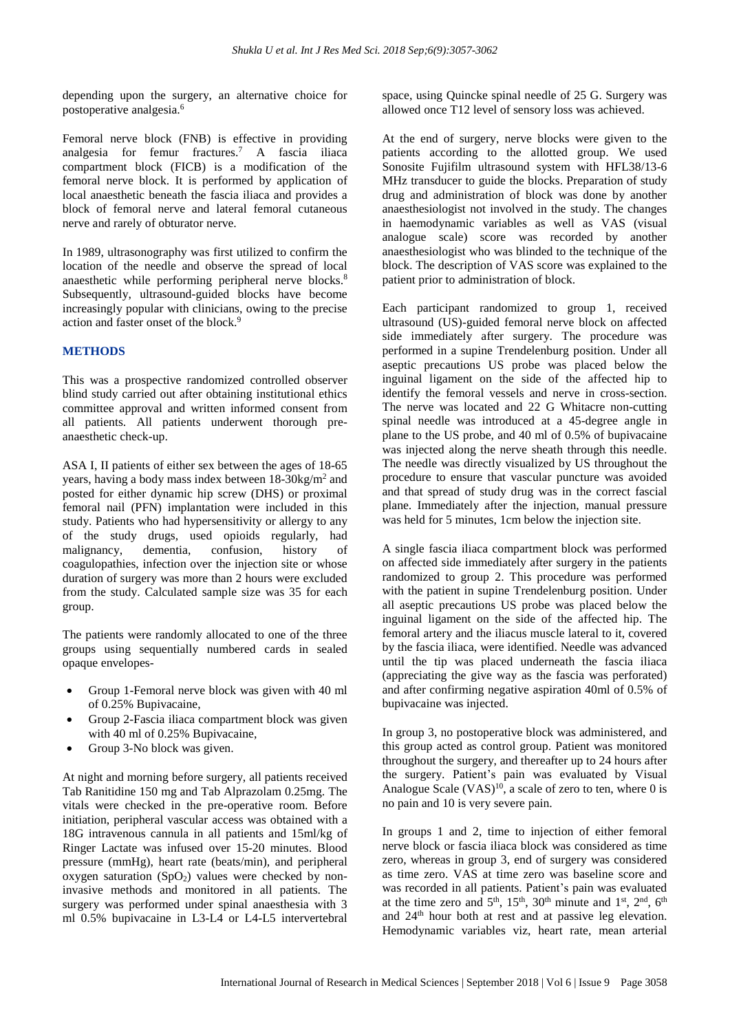depending upon the surgery, an alternative choice for postoperative analgesia.<sup>6</sup>

Femoral nerve block (FNB) is effective in providing analgesia for femur fractures. <sup>7</sup> A fascia iliaca compartment block (FICB) is a modification of the femoral nerve block. It is performed by application of local anaesthetic beneath the fascia iliaca and provides a block of femoral nerve and lateral femoral cutaneous nerve and rarely of obturator nerve.

In 1989, ultrasonography was first utilized to confirm the location of the needle and observe the spread of local anaesthetic while performing peripheral nerve blocks.<sup>8</sup> Subsequently, ultrasound-guided blocks have become increasingly popular with clinicians, owing to the precise action and faster onset of the block.<sup>9</sup>

# **METHODS**

This was a prospective randomized controlled observer blind study carried out after obtaining institutional ethics committee approval and written informed consent from all patients. All patients underwent thorough preanaesthetic check-up.

ASA I, II patients of either sex between the ages of 18-65 years, having a body mass index between 18-30kg/m<sup>2</sup> and posted for either dynamic hip screw (DHS) or proximal femoral nail (PFN) implantation were included in this study. Patients who had hypersensitivity or allergy to any of the study drugs, used opioids regularly, had malignancy, dementia, confusion, history of coagulopathies, infection over the injection site or whose duration of surgery was more than 2 hours were excluded from the study. Calculated sample size was 35 for each group.

The patients were randomly allocated to one of the three groups using sequentially numbered cards in sealed opaque envelopes-

- Group 1-Femoral nerve block was given with 40 ml of 0.25% Bupivacaine,
- Group 2-Fascia iliaca compartment block was given with 40 ml of 0.25% Bupivacaine,
- Group 3-No block was given.

At night and morning before surgery, all patients received Tab Ranitidine 150 mg and Tab Alprazolam 0.25mg. The vitals were checked in the pre-operative room. Before initiation, peripheral vascular access was obtained with a 18G intravenous cannula in all patients and 15ml/kg of Ringer Lactate was infused over 15-20 minutes. Blood pressure (mmHg), heart rate (beats/min), and peripheral oxygen saturation  $(SpO<sub>2</sub>)$  values were checked by noninvasive methods and monitored in all patients. The surgery was performed under spinal anaesthesia with 3 ml 0.5% bupivacaine in L3-L4 or L4-L5 intervertebral space, using Quincke spinal needle of 25 G. Surgery was allowed once T12 level of sensory loss was achieved.

At the end of surgery, nerve blocks were given to the patients according to the allotted group. We used Sonosite Fujifilm ultrasound system with HFL38/13-6 MHz transducer to guide the blocks. Preparation of study drug and administration of block was done by another anaesthesiologist not involved in the study. The changes in haemodynamic variables as well as VAS (visual analogue scale) score was recorded by another anaesthesiologist who was blinded to the technique of the block. The description of VAS score was explained to the patient prior to administration of block.

Each participant randomized to group 1, received ultrasound (US)-guided femoral nerve block on affected side immediately after surgery. The procedure was performed in a supine Trendelenburg position. Under all aseptic precautions US probe was placed below the inguinal ligament on the side of the affected hip to identify the femoral vessels and nerve in cross-section. The nerve was located and 22 G Whitacre non-cutting spinal needle was introduced at a 45-degree angle in plane to the US probe, and 40 ml of 0.5% of bupivacaine was injected along the nerve sheath through this needle. The needle was directly visualized by US throughout the procedure to ensure that vascular puncture was avoided and that spread of study drug was in the correct fascial plane. Immediately after the injection, manual pressure was held for 5 minutes, 1cm below the injection site.

A single fascia iliaca compartment block was performed on affected side immediately after surgery in the patients randomized to group 2. This procedure was performed with the patient in supine Trendelenburg position. Under all aseptic precautions US probe was placed below the inguinal ligament on the side of the affected hip. The femoral artery and the iliacus muscle lateral to it, covered by the fascia iliaca, were identified. Needle was advanced until the tip was placed underneath the fascia iliaca (appreciating the give way as the fascia was perforated) and after confirming negative aspiration 40ml of 0.5% of bupivacaine was injected.

In group 3, no postoperative block was administered, and this group acted as control group. Patient was monitored throughout the surgery, and thereafter up to 24 hours after the surgery. Patient's pain was evaluated by Visual Analogue Scale  $(VAS)^{10}$ , a scale of zero to ten, where 0 is no pain and 10 is very severe pain.

In groups 1 and 2, time to injection of either femoral nerve block or fascia iliaca block was considered as time zero, whereas in group 3, end of surgery was considered as time zero. VAS at time zero was baseline score and was recorded in all patients. Patient's pain was evaluated at the time zero and  $5<sup>th</sup>$ ,  $15<sup>th</sup>$ ,  $30<sup>th</sup>$  minute and  $1<sup>st</sup>$ ,  $2<sup>nd</sup>$ ,  $6<sup>th</sup>$ and 24th hour both at rest and at passive leg elevation. Hemodynamic variables viz, heart rate, mean arterial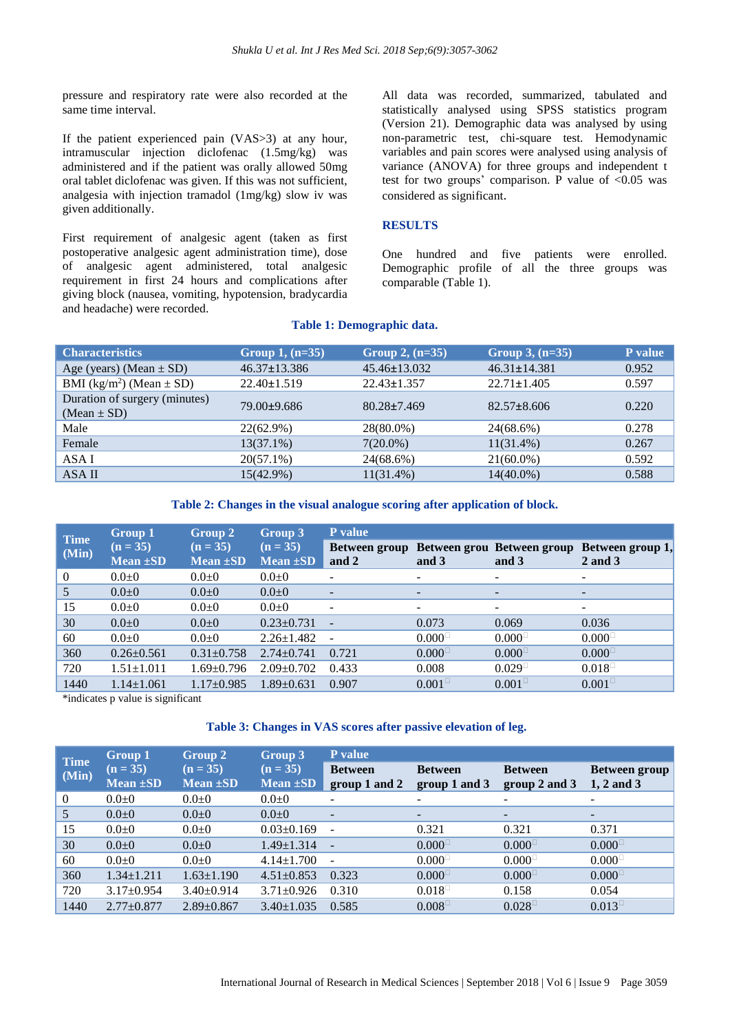pressure and respiratory rate were also recorded at the same time interval.

If the patient experienced pain (VAS>3) at any hour, intramuscular injection diclofenac (1.5mg/kg) was administered and if the patient was orally allowed 50mg oral tablet diclofenac was given. If this was not sufficient, analgesia with injection tramadol (1mg/kg) slow iv was given additionally.

First requirement of analgesic agent (taken as first postoperative analgesic agent administration time), dose of analgesic agent administered, total analgesic requirement in first 24 hours and complications after giving block (nausea, vomiting, hypotension, bradycardia and headache) were recorded.

All data was recorded, summarized, tabulated and statistically analysed using SPSS statistics program (Version 21). Demographic data was analysed by using non-parametric test, chi-square test. Hemodynamic variables and pain scores were analysed using analysis of variance (ANOVA) for three groups and independent t test for two groups' comparison. P value of <0.05 was considered as significant.

#### **RESULTS**

One hundred and five patients were enrolled. Demographic profile of all the three groups was comparable (Table 1).

#### **Table 1: Demographic data.**

| <b>Characteristics</b>                           | Group 1, $(n=35)$  | Group 2, $(n=35)$  | Group 3, $(n=35)$  | P value |
|--------------------------------------------------|--------------------|--------------------|--------------------|---------|
| Age (years) (Mean $\pm$ SD)                      | $46.37 \pm 13.386$ | $45.46 \pm 13.032$ | $46.31 \pm 14.381$ | 0.952   |
| BMI (kg/m <sup>2</sup> ) (Mean $\pm$ SD)         | $22.40 \pm 1.519$  | $22.43 \pm 1.357$  | $22.71 \pm 1.405$  | 0.597   |
| Duration of surgery (minutes)<br>(Mean $\pm$ SD) | 79.00±9.686        | $80.28 \pm 7.469$  | $82.57 \pm 8.606$  | 0.220   |
| Male                                             | 22(62.9%)          | 28(80.0%)          | 24(68.6%)          | 0.278   |
| Female                                           | $13(37.1\%)$       | $7(20.0\%)$        | $11(31.4\%)$       | 0.267   |
| ASA I                                            | $20(57.1\%)$       | 24(68.6%)          | $21(60.0\%)$       | 0.592   |
| ASA II                                           | 15(42.9%)          | $11(31.4\%)$       | $14(40.0\%)$       | 0.588   |

**Table 2: Changes in the visual analogue scoring after application of block.**

| <b>Time</b>    | <b>Group 1</b>              | Group 2<br>$(n = 35)$<br>$Mean \pm SD$ | Group 3 <br>$(n = 35)$<br>Mean $\pm SD$ | <b>P</b> value           |                          |                                     |                             |  |  |
|----------------|-----------------------------|----------------------------------------|-----------------------------------------|--------------------------|--------------------------|-------------------------------------|-----------------------------|--|--|
| (Min)          | $(n = 35)$<br>Mean $\pm SD$ |                                        |                                         | Between group<br>and 2   | and 3                    | Between grou Between group<br>and 3 | Between group 1,<br>2 and 3 |  |  |
| $\overline{0}$ | $0.0 + 0$                   | $0.0 + 0$                              | $0.0 + 0$                               | -                        | $\overline{\phantom{a}}$ | $\overline{\phantom{a}}$            | $\overline{\phantom{0}}$    |  |  |
| 5              | 0.010                       | 0.010                                  | $0.0 + 0$                               | $\overline{\phantom{0}}$ |                          | $\overline{\phantom{a}}$            | $\overline{\phantom{0}}$    |  |  |
| 15             | $0.0 + 0$                   | $0.0 + 0$                              | $0.0 + 0$                               | $\overline{\phantom{a}}$ | -                        | $\overline{\phantom{a}}$            | $\sim$                      |  |  |
| 30             | $0.0 + 0$                   | $0.0 + 0$                              | $0.23 \pm 0.731$                        | $\overline{\phantom{a}}$ | 0.073                    | 0.069                               | 0.036                       |  |  |
| 60             | $0.0 + 0$                   | $0.0 + 0$                              | $2.26 \pm 1.482$                        | $\overline{\phantom{a}}$ | $0.000^\circ$            | $0.000^\circ$                       | $0.000^\circ$               |  |  |
| 360            | $0.26 \pm 0.561$            | $0.31 \pm 0.758$                       | $2.74 \pm 0.741$                        | 0.721                    | $0.000^\circ$            | $0.000^\circ$                       | $0.000^\circ$               |  |  |
| 720            | $1.51 \pm 1.011$            | $1.69 \pm 0.796$                       | $2.09 \pm 0.702$                        | 0.433                    | 0.008                    | $0.029^{\square}$                   | $0.018^{\square}$           |  |  |
| 1440           | $1.14 \pm 1.061$            | $1.17\pm0.985$                         | $1.89 \pm 0.631$                        | 0.907                    | $0.001^{\circ}$          | $0.001^{\square}$                   | $0.001^{\square}$           |  |  |

\*indicates p value is significant

# **Table 3: Changes in VAS scores after passive elevation of leg.**

| <b>Time</b> | <b>Group 1</b>              | Group 2<br>$(n = 35)$<br>Mean $\pm SD$ | Group 3<br>$(n = 35)$<br>Mean $\pm SD$ | <b>P</b> value                  |                                      |                                 |                               |  |  |
|-------------|-----------------------------|----------------------------------------|----------------------------------------|---------------------------------|--------------------------------------|---------------------------------|-------------------------------|--|--|
| (Min)       | $(n = 35)$<br>Mean $\pm SD$ |                                        |                                        | <b>Between</b><br>group 1 and 2 | <b>Between</b><br>group 1 and 3      | <b>Between</b><br>group 2 and 3 | Between group<br>$1, 2$ and 3 |  |  |
| $\theta$    | $0.0 + 0$                   | $0.0 + 0$                              | $0.0 + 0$                              | $\overline{\phantom{a}}$        | $\overline{\phantom{0}}$             | $\overline{\phantom{a}}$        | -                             |  |  |
| 5           | $0.0 + 0$                   | $0.0 + 0$                              | $0.0 + 0$                              | $\overline{\phantom{a}}$        | ۰                                    | $\overline{\phantom{a}}$        | -                             |  |  |
| 15          | $0.0 + 0$                   | $0.0 + 0$                              | $0.03 \pm 0.169$                       | $\overline{\phantom{a}}$        | 0.321                                | 0.321                           | 0.371                         |  |  |
| 30          | $0.0 + 0$                   | $0.0 + 0$                              | $1.49 \pm 1.314$                       | $\sim$                          | $0.000^\circ$                        | $0.000^\circ$                   | $0.000^\circ$                 |  |  |
| 60          | $0.0 + 0$                   | $0.0 + 0$                              | $4.14 \pm 1.700$                       | $\overline{\phantom{a}}$        | $0.000^{\circ}$                      | $0.000^\circ$                   | $0.000^\circ$                 |  |  |
| 360         | $1.34 \pm 1.211$            | $1.63 \pm 1.190$                       | $4.51 \pm 0.853$                       | 0.323                           | $0.000^\square$                      | $0.000^\square$                 | $0.000^\square$               |  |  |
| 720         | $3.17 \pm 0.954$            | $3.40 \pm 0.914$                       | $3.71 \pm 0.926$                       | 0.310                           | $0.018$ <sup><math>\Box</math></sup> | 0.158                           | 0.054                         |  |  |
| 1440        | $2.77 \pm 0.877$            | $2.89 \pm 0.867$                       | $3.40 \pm 1.035$                       | 0.585                           | $0.008^{\circ}$                      | $0.028^{\square}$               | $0.013^{\square}$             |  |  |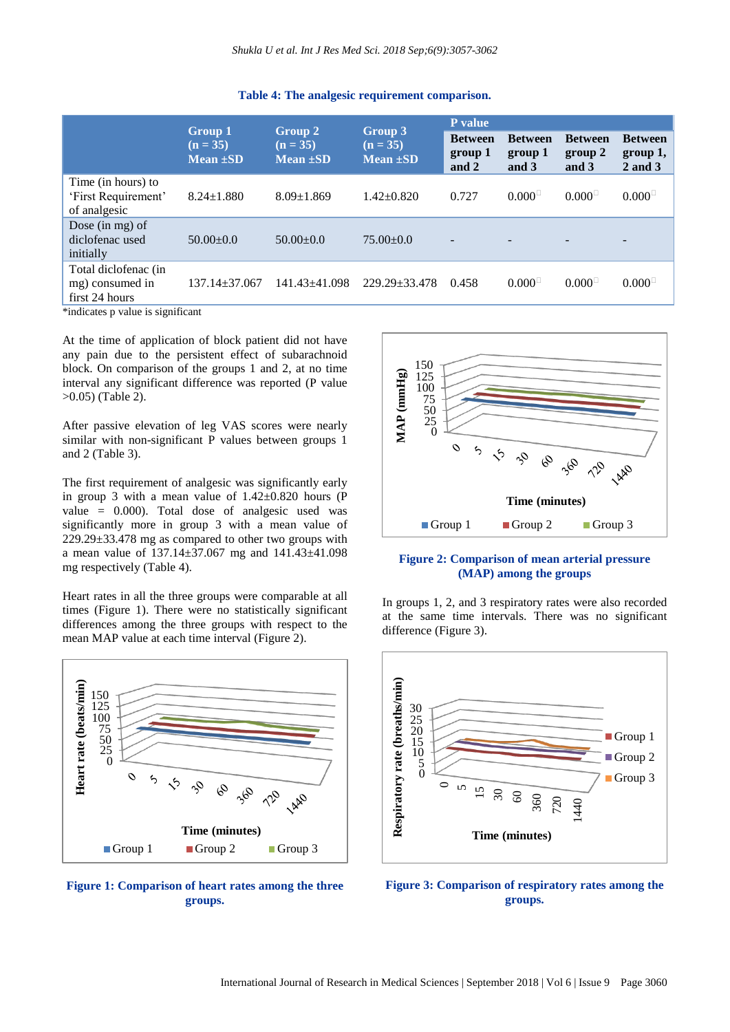|                                                           | <b>Group 1</b>              | Group 2<br>$(n = 35)$<br>Mean $\pm SD$ |                                   | P value                            |                                    |                                    |                                       |
|-----------------------------------------------------------|-----------------------------|----------------------------------------|-----------------------------------|------------------------------------|------------------------------------|------------------------------------|---------------------------------------|
|                                                           | $(n = 35)$<br>$Mean \pm SD$ |                                        | Group 3<br>$(n = 35)$<br>Mean ±SD | <b>Between</b><br>group 1<br>and 2 | <b>Between</b><br>group 1<br>and 3 | <b>Between</b><br>group 2<br>and 3 | <b>Between</b><br>group 1,<br>2 and 3 |
| Time (in hours) to<br>'First Requirement'<br>of analgesic | $8.24 \pm 1.880$            | $8.09 \pm 1.869$                       | $1.42 \pm 0.820$                  | 0.727                              | $0.000^{\perp}$                    | $0.000^\circ$                      | $0.000^\square$                       |
| Dose (in mg) of<br>diclofenac used<br>initially           | $50.00 \pm 0.0$             | $50.00 \pm 0.0$                        | $75.00 \pm 0.0$                   |                                    |                                    |                                    |                                       |
| Total diclofenac (in<br>mg) consumed in<br>first 24 hours | $137.14 + 37.067$           | $141.43 + 41.098$                      | $229.29 \pm 33.478$               | 0.458                              | $0.000^\circ$                      | $0.000^\circ$                      | $0.000^\circ$                         |

#### **Table 4: The analgesic requirement comparison.**

\*indicates p value is significant

At the time of application of block patient did not have any pain due to the persistent effect of subarachnoid block. On comparison of the groups 1 and 2, at no time interval any significant difference was reported (P value >0.05) (Table 2).

After passive elevation of leg VAS scores were nearly similar with non-significant P values between groups 1 and 2 (Table 3).

The first requirement of analgesic was significantly early in group 3 with a mean value of  $1.42 \pm 0.820$  hours (P value = 0.000). Total dose of analgesic used was significantly more in group 3 with a mean value of  $229.29 \pm 33.478$  mg as compared to other two groups with a mean value of 137.14±37.067 mg and 141.43±41.098 mg respectively (Table 4).

Heart rates in all the three groups were comparable at all times (Figure 1). There were no statistically significant differences among the three groups with respect to the mean MAP value at each time interval (Figure 2).



**Figure 1: Comparison of heart rates among the three groups.**



#### **Figure 2: Comparison of mean arterial pressure (MAP) among the groups**

In groups 1, 2, and 3 respiratory rates were also recorded at the same time intervals. There was no significant difference (Figure 3).



**Figure 3: Comparison of respiratory rates among the groups.**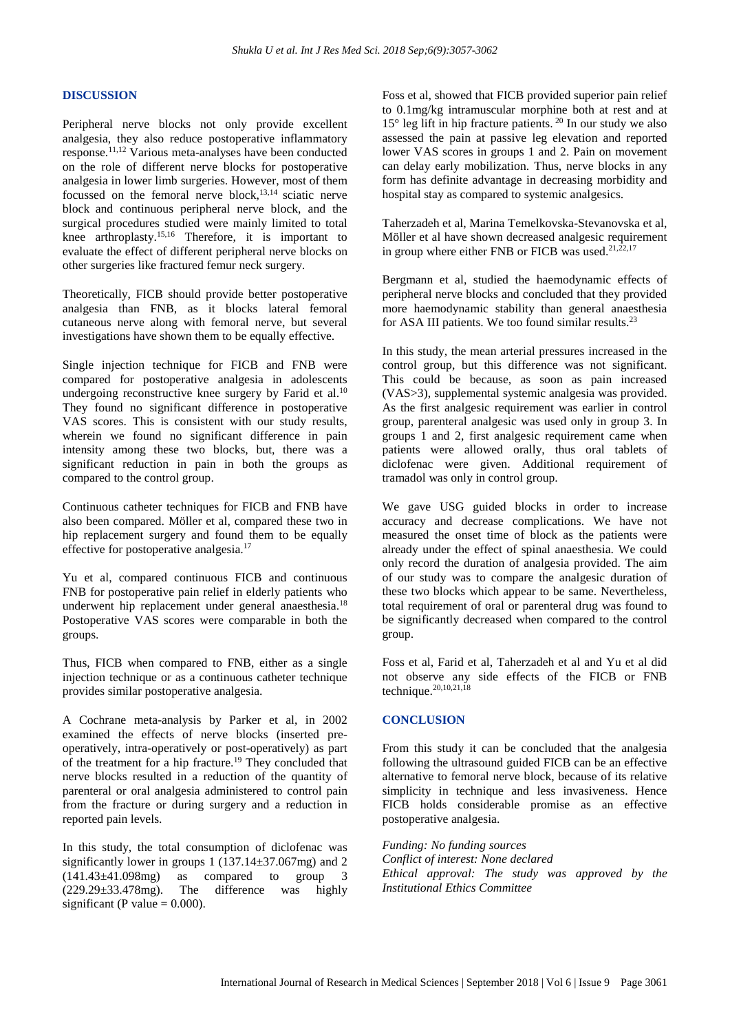#### **DISCUSSION**

Peripheral nerve blocks not only provide excellent analgesia, they also reduce postoperative inflammatory response.11,12 Various meta-analyses have been conducted on the role of different nerve blocks for postoperative analgesia in lower limb surgeries. However, most of them focussed on the femoral nerve block, $13,14$  sciatic nerve block and continuous peripheral nerve block, and the surgical procedures studied were mainly limited to total knee arthroplasty.15,16 Therefore, it is important to evaluate the effect of different peripheral nerve blocks on other surgeries like fractured femur neck surgery.

Theoretically, FICB should provide better postoperative analgesia than FNB, as it blocks lateral femoral cutaneous nerve along with femoral nerve, but several investigations have shown them to be equally effective.

Single injection technique for FICB and FNB were compared for postoperative analgesia in adolescents undergoing reconstructive knee surgery by Farid et al.<sup>10</sup> They found no significant difference in postoperative VAS scores. This is consistent with our study results, wherein we found no significant difference in pain intensity among these two blocks, but, there was a significant reduction in pain in both the groups as compared to the control group.

Continuous catheter techniques for FICB and FNB have also been compared. Möller et al, compared these two in hip replacement surgery and found them to be equally effective for postoperative analgesia.<sup>17</sup>

Yu et al, compared continuous FICB and continuous FNB for postoperative pain relief in elderly patients who underwent hip replacement under general anaesthesia.<sup>18</sup> Postoperative VAS scores were comparable in both the groups.

Thus, FICB when compared to FNB, either as a single injection technique or as a continuous catheter technique provides similar postoperative analgesia.

A Cochrane meta-analysis by Parker et al, in 2002 examined the effects of nerve blocks (inserted preoperatively, intra-operatively or post-operatively) as part of the treatment for a hip fracture.<sup>19</sup> They concluded that nerve blocks resulted in a reduction of the quantity of parenteral or oral analgesia administered to control pain from the fracture or during surgery and a reduction in reported pain levels.

In this study, the total consumption of diclofenac was significantly lower in groups  $1(137.14 \pm 37.067 \text{mg})$  and 2  $(141.43\pm41.098mg)$  as compared to group 3 (229.29±33.478mg). The difference was highly significant (P value  $= 0.000$ ).

Foss et al, showed that FICB provided superior pain relief to 0.1mg/kg intramuscular morphine both at rest and at 15 $\degree$  leg lift in hip fracture patients.  $^{20}$  In our study we also assessed the pain at passive leg elevation and reported lower VAS scores in groups 1 and 2. Pain on movement can delay early mobilization. Thus, nerve blocks in any form has definite advantage in decreasing morbidity and hospital stay as compared to systemic analgesics.

Taherzadeh et al, Marina Temelkovska-Stevanovska et al, Möller et al have shown decreased analgesic requirement in group where either FNB or FICB was used. $21,22,17$ 

Bergmann et al, studied the haemodynamic effects of peripheral nerve blocks and concluded that they provided more haemodynamic stability than general anaesthesia for ASA III patients. We too found similar results.<sup>23</sup>

In this study, the mean arterial pressures increased in the control group, but this difference was not significant. This could be because, as soon as pain increased (VAS>3), supplemental systemic analgesia was provided. As the first analgesic requirement was earlier in control group, parenteral analgesic was used only in group 3. In groups 1 and 2, first analgesic requirement came when patients were allowed orally, thus oral tablets of diclofenac were given. Additional requirement of tramadol was only in control group.

We gave USG guided blocks in order to increase accuracy and decrease complications. We have not measured the onset time of block as the patients were already under the effect of spinal anaesthesia. We could only record the duration of analgesia provided. The aim of our study was to compare the analgesic duration of these two blocks which appear to be same. Nevertheless, total requirement of oral or parenteral drug was found to be significantly decreased when compared to the control group.

Foss et al, Farid et al, Taherzadeh et al and Yu et al did not observe any side effects of the FICB or FNB technique. 20,10,21,18

#### **CONCLUSION**

From this study it can be concluded that the analgesia following the ultrasound guided FICB can be an effective alternative to femoral nerve block, because of its relative simplicity in technique and less invasiveness. Hence FICB holds considerable promise as an effective postoperative analgesia.

*Funding: No funding sources Conflict of interest: None declared Ethical approval: The study was approved by the Institutional Ethics Committee*